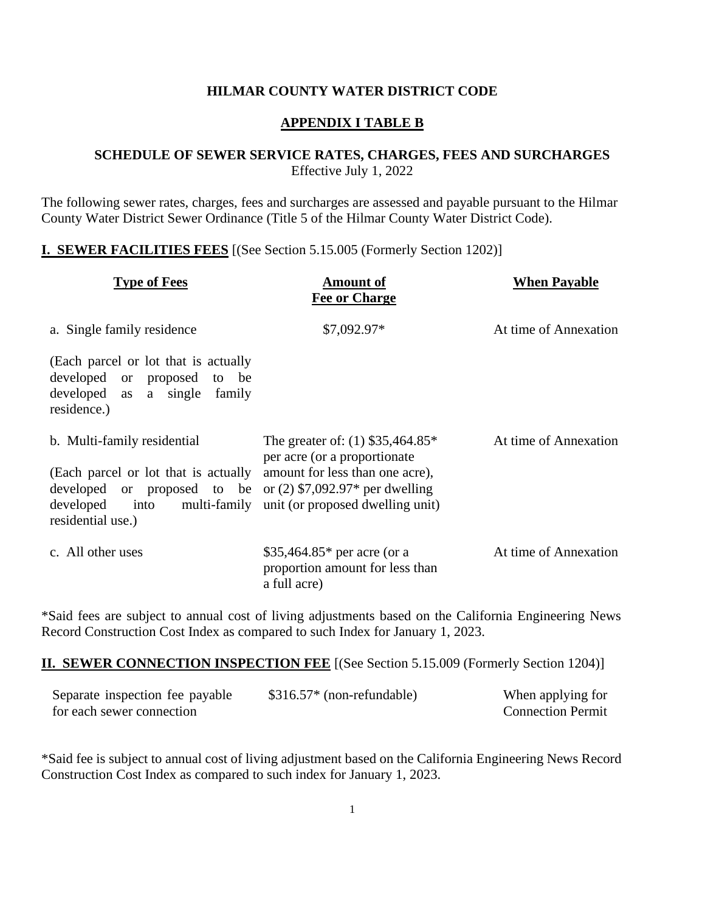#### **HILMAR COUNTY WATER DISTRICT CODE**

### **APPENDIX I TABLE B**

#### **SCHEDULE OF SEWER SERVICE RATES, CHARGES, FEES AND SURCHARGES** Effective July 1, 2022

The following sewer rates, charges, fees and surcharges are assessed and payable pursuant to the Hilmar County Water District Sewer Ordinance (Title 5 of the Hilmar County Water District Code).

### **I. SEWER FACILITIES FEES** [(See Section 5.15.005 (Formerly Section 1202)]

| <b>Type of Fees</b>                                                                                                                                                                                                       | <b>Amount of</b><br><b>Fee or Charge</b>                                                               | <b>When Payable</b>   |
|---------------------------------------------------------------------------------------------------------------------------------------------------------------------------------------------------------------------------|--------------------------------------------------------------------------------------------------------|-----------------------|
| a. Single family residence                                                                                                                                                                                                | \$7,092.97*                                                                                            | At time of Annexation |
| (Each parcel or lot that is actually<br>developed or proposed to be<br>developed as a single family<br>residence.)                                                                                                        |                                                                                                        |                       |
| b. Multi-family residential<br>(Each parcel or lot that is actually<br>developed or proposed to be or $(2)$ \$7,092.97* per dwelling<br>developed into multi-family unit (or proposed dwelling unit)<br>residential use.) | The greater of: $(1)$ \$35,464.85*<br>per acre (or a proportionate)<br>amount for less than one acre), | At time of Annexation |
| c. All other uses                                                                                                                                                                                                         | \$35,464.85 $*$ per acre (or a<br>proportion amount for less than<br>a full acre)                      | At time of Annexation |

\*Said fees are subject to annual cost of living adjustments based on the California Engineering News Record Construction Cost Index as compared to such Index for January 1, 2023.

#### **II. SEWER CONNECTION INSPECTION FEE** [(See Section 5.15.009 (Formerly Section 1204)]

| Separate inspection fee payable | $$316.57* (non-refundable)$ | When applying for        |
|---------------------------------|-----------------------------|--------------------------|
| for each sewer connection       |                             | <b>Connection Permit</b> |

\*Said fee is subject to annual cost of living adjustment based on the California Engineering News Record Construction Cost Index as compared to such index for January 1, 2023.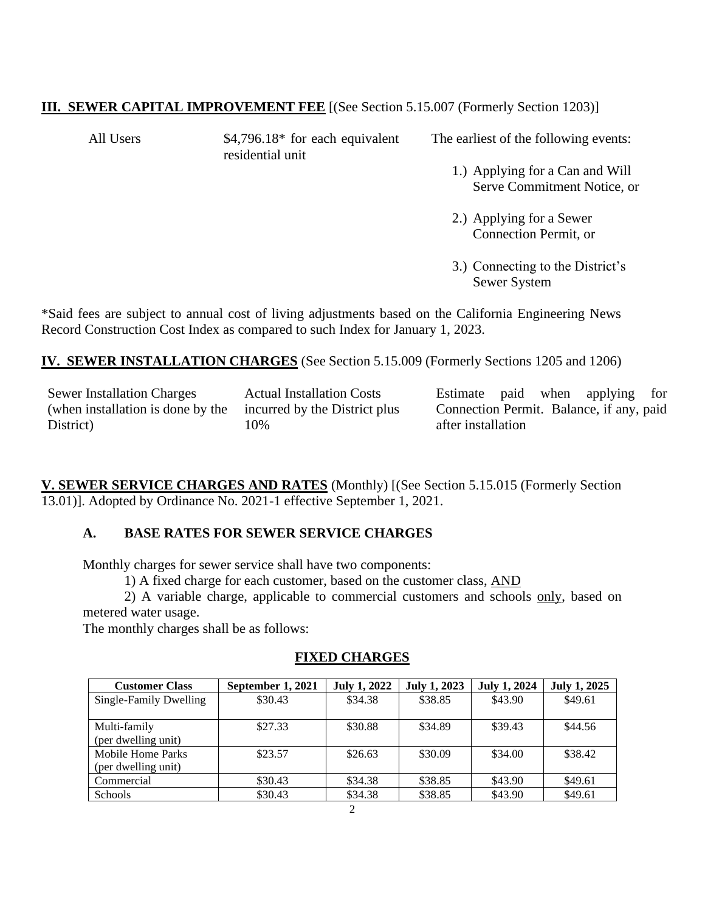# **III. SEWER CAPITAL IMPROVEMENT FEE** [(See Section 5.15.007 (Formerly Section 1203)]

All Users  $$4,796.18*$  for each equivalent residential unit

The earliest of the following events:

1.) Applying for a Can and Will Serve Commitment Notice, or

2.) Applying for a Sewer Connection Permit, or

3.) Connecting to the District's Sewer System

\*Said fees are subject to annual cost of living adjustments based on the California Engineering News Record Construction Cost Index as compared to such Index for January 1, 2023.

**IV. SEWER INSTALLATION CHARGES** (See Section 5.15.009 (Formerly Sections 1205 and 1206)

Sewer Installation Charges (when installation is done by the District)

Actual Installation Costs incurred by the District plus 10%

Estimate paid when applying for Connection Permit. Balance, if any, paid after installation

**V. SEWER SERVICE CHARGES AND RATES** (Monthly) [(See Section 5.15.015 (Formerly Section 13.01)]. Adopted by Ordinance No. 2021-1 effective September 1, 2021.

## **A. BASE RATES FOR SEWER SERVICE CHARGES**

Monthly charges for sewer service shall have two components:

1) A fixed charge for each customer, based on the customer class, AND

2) A variable charge, applicable to commercial customers and schools only, based on metered water usage.

The monthly charges shall be as follows:

### **FIXED CHARGES**

| <b>Customer Class</b>  | September 1, 2021 | <b>July 1, 2022</b> | <b>July 1, 2023</b> | <b>July 1, 2024</b> | <b>July 1, 2025</b> |
|------------------------|-------------------|---------------------|---------------------|---------------------|---------------------|
| Single-Family Dwelling | \$30.43           | \$34.38             | \$38.85             | \$43.90             | \$49.61             |
|                        |                   |                     |                     |                     |                     |
| Multi-family           | \$27.33           | \$30.88             | \$34.89             | \$39.43             | \$44.56             |
| (per dwelling unit)    |                   |                     |                     |                     |                     |
| Mobile Home Parks      | \$23.57           | \$26.63             | \$30.09             | \$34.00             | \$38.42             |
| (per dwelling unit)    |                   |                     |                     |                     |                     |
| Commercial             | \$30.43           | \$34.38             | \$38.85             | \$43.90             | \$49.61             |
| <b>Schools</b>         | \$30.43           | \$34.38             | \$38.85             | \$43.90             | \$49.61             |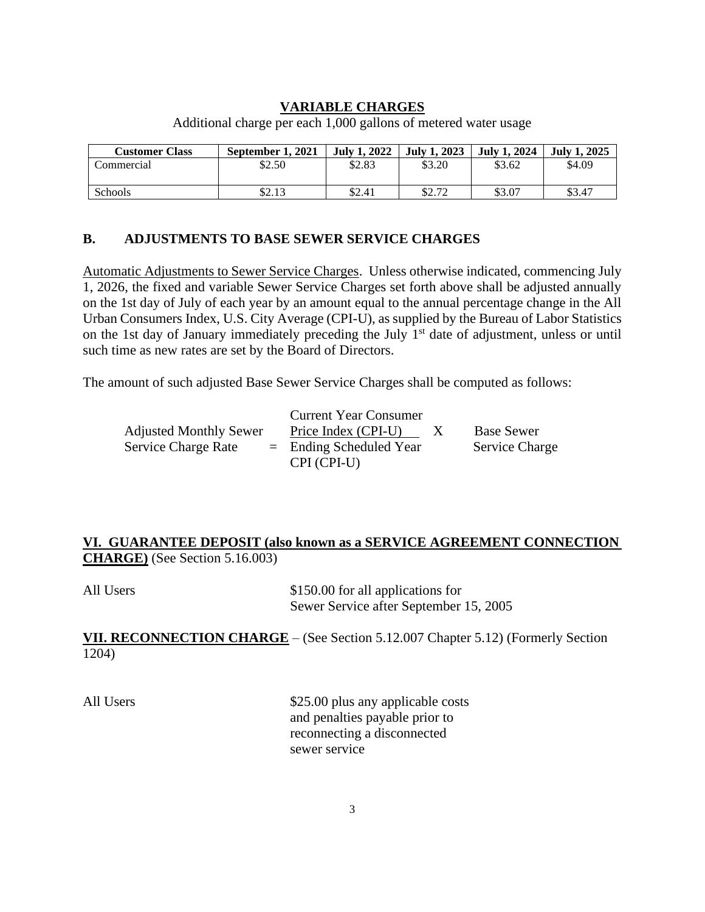## **VARIABLE CHARGES**

| <b>Customer Class</b> | September 1, 2021 | <b>July 1, 2022</b> | <b>July 1, 2023</b> | <b>July 1, 2024</b> | <b>July 1, 2025</b> |
|-----------------------|-------------------|---------------------|---------------------|---------------------|---------------------|
| Commercial            | \$2.50            | \$2.83              | \$3.20              | \$3.62              | \$4.09              |
| Schools               | ¢າ<br>92.IJ       | \$2.41              | \$2.72              | \$3.07              | \$3.47              |

Additional charge per each 1,000 gallons of metered water usage

## **B. ADJUSTMENTS TO BASE SEWER SERVICE CHARGES**

Automatic Adjustments to Sewer Service Charges. Unless otherwise indicated, commencing July 1, 2026, the fixed and variable Sewer Service Charges set forth above shall be adjusted annually on the 1st day of July of each year by an amount equal to the annual percentage change in the All Urban Consumers Index, U.S. City Average (CPI-U), as supplied by the Bureau of Labor Statistics on the 1st day of January immediately preceding the July 1<sup>st</sup> date of adjustment, unless or until such time as new rates are set by the Board of Directors.

The amount of such adjusted Base Sewer Service Charges shall be computed as follows:

|                               | <b>Current Year Consumer</b> |                       |
|-------------------------------|------------------------------|-----------------------|
| <b>Adjusted Monthly Sewer</b> | Price Index (CPI-U)          | <b>Base Sewer</b>     |
| <b>Service Charge Rate</b>    | $=$ Ending Scheduled Year    | <b>Service Charge</b> |
|                               | CPI (CPI-U)                  |                       |

# **VI. GUARANTEE DEPOSIT (also known as a SERVICE AGREEMENT CONNECTION CHARGE)** (See Section 5.16.003)

| All Users | \$150.00 for all applications for      |
|-----------|----------------------------------------|
|           | Sewer Service after September 15, 2005 |

**VII. RECONNECTION CHARGE** – (See Section 5.12.007 Chapter 5.12) (Formerly Section 1204)

All Users  $$25.00$  plus any applicable costs and penalties payable prior to reconnecting a disconnected sewer service